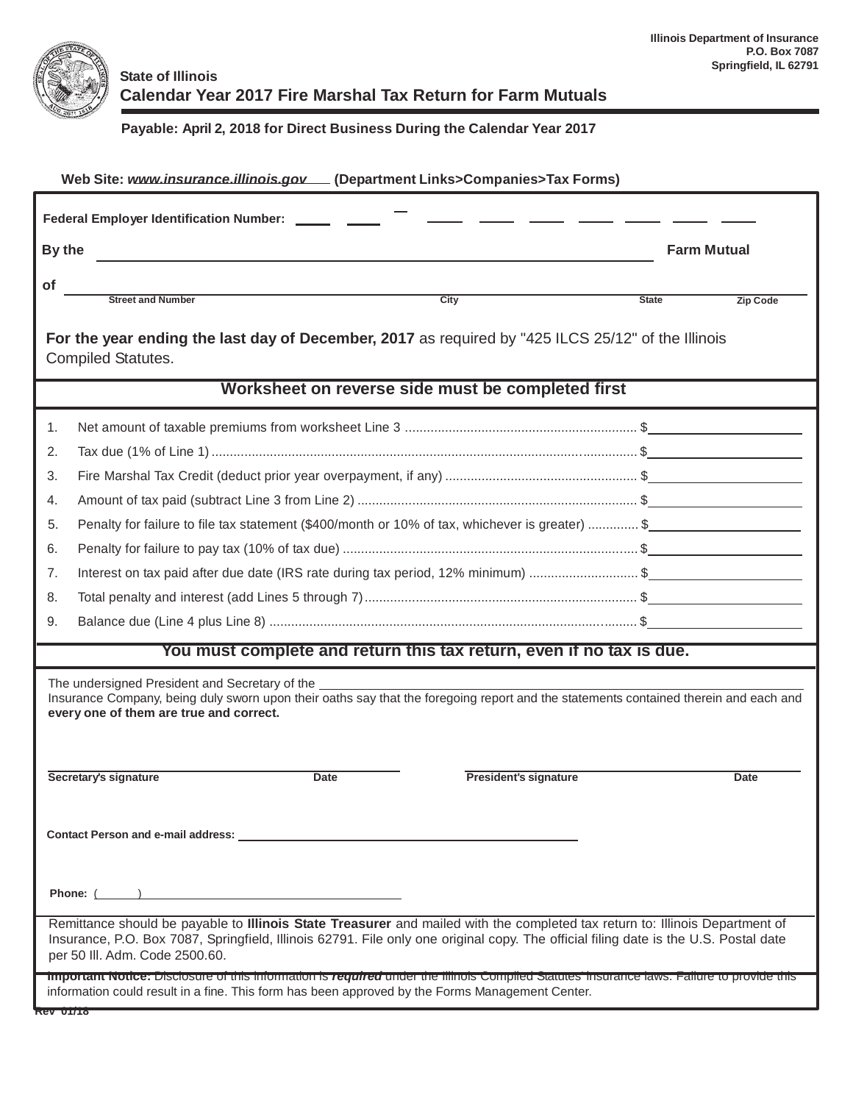

## **State of Illinois Calendar Year 2017 Fire Marshal Tax Return for Farm Mutuals**

## **Payable: April 2, 2018 for Direct Business During the Calendar Year 2017**

| Web Site: www.insurance.illinois.gov [Department Links>Companies>Tax Forms)                                                                                                                                                                                                                            |                                 |  |  |  |  |  |  |
|--------------------------------------------------------------------------------------------------------------------------------------------------------------------------------------------------------------------------------------------------------------------------------------------------------|---------------------------------|--|--|--|--|--|--|
| Federal Employer Identification Number: ______ ____                                                                                                                                                                                                                                                    |                                 |  |  |  |  |  |  |
| By the                                                                                                                                                                                                                                                                                                 | <b>Farm Mutual</b>              |  |  |  |  |  |  |
| <b>of</b><br><b>Street and Number</b><br>City                                                                                                                                                                                                                                                          | <b>State</b><br><b>Zip Code</b> |  |  |  |  |  |  |
| For the year ending the last day of December, 2017 as required by "425 ILCS 25/12" of the Illinois<br><b>Compiled Statutes.</b>                                                                                                                                                                        |                                 |  |  |  |  |  |  |
| Worksheet on reverse side must be completed first                                                                                                                                                                                                                                                      |                                 |  |  |  |  |  |  |
| 1.                                                                                                                                                                                                                                                                                                     |                                 |  |  |  |  |  |  |
| 2.                                                                                                                                                                                                                                                                                                     |                                 |  |  |  |  |  |  |
| 3.                                                                                                                                                                                                                                                                                                     |                                 |  |  |  |  |  |  |
| 4.                                                                                                                                                                                                                                                                                                     |                                 |  |  |  |  |  |  |
| Penalty for failure to file tax statement (\$400/month or 10% of tax, whichever is greater)  \$<br>5.                                                                                                                                                                                                  |                                 |  |  |  |  |  |  |
| 6.                                                                                                                                                                                                                                                                                                     |                                 |  |  |  |  |  |  |
| 7.<br>Interest on tax paid after due date (IRS rate during tax period, 12% minimum) \$                                                                                                                                                                                                                 |                                 |  |  |  |  |  |  |
| 8.                                                                                                                                                                                                                                                                                                     |                                 |  |  |  |  |  |  |
| 9.                                                                                                                                                                                                                                                                                                     |                                 |  |  |  |  |  |  |
| You must complete and return this tax return, even if no tax is due.                                                                                                                                                                                                                                   |                                 |  |  |  |  |  |  |
| The undersigned President and Secretary of the<br>Insurance Company, being duly sworn upon their oaths say that the foregoing report and the statements contained therein and each and<br>every one of them are true and correct.                                                                      |                                 |  |  |  |  |  |  |
| <b>Date</b><br><b>President's signature</b><br>Secretary's signature                                                                                                                                                                                                                                   | Date                            |  |  |  |  |  |  |
|                                                                                                                                                                                                                                                                                                        |                                 |  |  |  |  |  |  |
| Phone: ( )                                                                                                                                                                                                                                                                                             |                                 |  |  |  |  |  |  |
| Remittance should be payable to Illinois State Treasurer and mailed with the completed tax return to: Illinois Department of<br>Insurance, P.O. Box 7087, Springfield, Illinois 62791. File only one original copy. The official filing date is the U.S. Postal date<br>per 50 III. Adm. Code 2500.60. |                                 |  |  |  |  |  |  |
| Important Notice: Disclosure of this information is required under the fillnois Compiled Statutes Insurance laws. Failure to provide this<br>information could result in a fine. This form has been approved by the Forms Management Center.                                                           |                                 |  |  |  |  |  |  |
| <b>REV_UTITIO</b>                                                                                                                                                                                                                                                                                      |                                 |  |  |  |  |  |  |